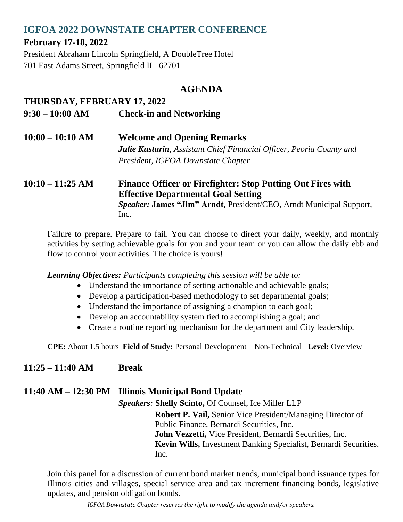# **IGFOA 2022 DOWNSTATE CHAPTER CONFERENCE**

## **February 17-18, 2022**

President Abraham Lincoln Springfield, A DoubleTree Hotel 701 East Adams Street, Springfield IL 62701

## **AGENDA**

#### **THURSDAY, FEBRUARY 17, 2022**

- **9:30 – 10:00 AM Check-in and Networking**
- **10:00 – 10:10 AM Welcome and Opening Remarks** *Julie Kusturin, Assistant Chief Financial Officer, Peoria County and President, IGFOA Downstate Chapter*

#### **10:10 – 11:25 AM Finance Officer or Firefighter: Stop Putting Out Fires with Effective Departmental Goal Setting** *Speaker:* **James "Jim" Arndt,** President/CEO, Arndt Municipal Support, Inc.

Failure to prepare. Prepare to fail. You can choose to direct your daily, weekly, and monthly activities by setting achievable goals for you and your team or you can allow the daily ebb and flow to control your activities. The choice is yours!

*Learning Objectives: Participants completing this session will be able to:*

- Understand the importance of setting actionable and achievable goals;
- Develop a participation-based methodology to set departmental goals;
- Understand the importance of assigning a champion to each goal;
- Develop an accountability system tied to accomplishing a goal; and
- Create a routine reporting mechanism for the department and City leadership.

**CPE:** About 1.5 hours **Field of Study:** Personal Development – Non-Technical **Level:** Overview

## **11:25 – 11:40 AM Break**

**11:40 AM – 12:30 PM Illinois Municipal Bond Update** *Speakers:* **Shelly Scinto,** Of Counsel, Ice Miller LLP **Robert P. Vail,** Senior Vice President/Managing Director of Public Finance, Bernardi Securities, Inc. **John Vezzetti,** Vice President, Bernardi Securities, Inc.  **Kevin Wills,** Investment Banking Specialist, Bernardi Securities, Inc.

Join this panel for a discussion of current bond market trends, municipal bond issuance types for Illinois cities and villages, special service area and tax increment financing bonds, legislative updates, and pension obligation bonds.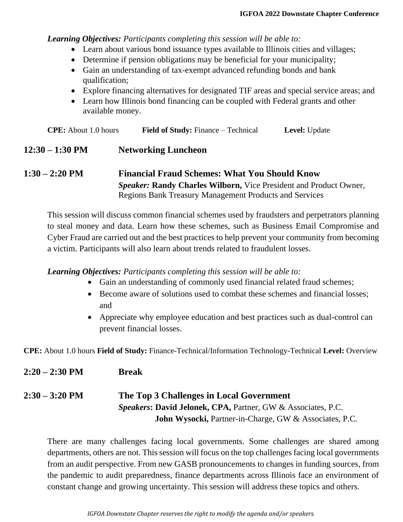*Learning Objectives: Participants completing this session will be able to:*

- Learn about various bond issuance types available to Illinois cities and villages;
- Determine if pension obligations may be beneficial for your municipality;
- Gain an understanding of tax-exempt advanced refunding bonds and bank qualification;
- Explore financing alternatives for designated TIF areas and special service areas; and
- Learn how Illinois bond financing can be coupled with Federal grants and other available money.

| <b>CPE:</b> About 1.0 hours | <b>Field of Study:</b> Finance – Technical | <b>Level:</b> Update |
|-----------------------------|--------------------------------------------|----------------------|
|-----------------------------|--------------------------------------------|----------------------|

#### **12:30 – 1:30 PM Networking Luncheon**

#### **1:30 – 2:20 PM Financial Fraud Schemes: What You Should Know** *Speaker:* **Randy Charles Wilborn,** Vice President and Product Owner, Regions Bank Treasury Management Products and Services

This session will discuss common financial schemes used by fraudsters and perpetrators planning to steal money and data. Learn how these schemes, such as Business Email Compromise and Cyber Fraud are carried out and the best practices to help prevent your community from becoming a victim. Participants will also learn about trends related to fraudulent losses.

*Learning Objectives: Participants completing this session will be able to:*

- Gain an understanding of commonly used financial related fraud schemes;
- Become aware of solutions used to combat these schemes and financial losses; and
- Appreciate why employee education and best practices such as dual-control can prevent financial losses.

**CPE:** About 1.0 hours **Field of Study:** Finance-Technical/Information Technology-Technical **Level:** Overview

**2:20 – 2:30 PM Break**

## **2:30 – 3:20 PM The Top 3 Challenges in Local Government** *Speakers***: David Jelonek, CPA,** Partner, GW & Associates, P.C.  **John Wysocki,** Partner-in-Charge, GW & Associates, P.C.

There are many challenges facing local governments. Some challenges are shared among departments, others are not. This session will focus on the top challenges facing local governments from an audit perspective. From new GASB pronouncements to changes in funding sources, from the pandemic to audit preparedness, finance departments across Illinois face an environment of constant change and growing uncertainty. This session will address these topics and others.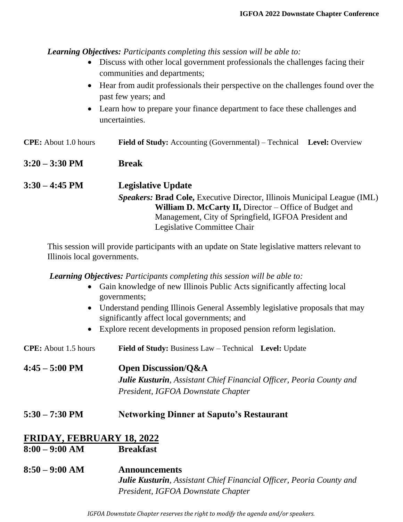*Learning Objectives: Participants completing this session will be able to:*

- Discuss with other local government professionals the challenges facing their communities and departments;
- Hear from audit professionals their perspective on the challenges found over the past few years; and
- Learn how to prepare your finance department to face these challenges and uncertainties.

| <b>CPE:</b> About 1.0 hours | <b>Field of Study:</b> Accounting (Governmental) – Technical Level: Overview |  |
|-----------------------------|------------------------------------------------------------------------------|--|
| $3:20 - 3:30 \text{ PM}$    | <b>Break</b>                                                                 |  |
| $3:30 - 4:45 \text{ PM}$    | <b>Legislative Update</b>                                                    |  |

*Speakers:* **Brad Cole,** Executive Director, Illinois Municipal League (IML) **William D. McCarty II, Director – Office of Budget and** Management, City of Springfield, IGFOA President and Legislative Committee Chair

This session will provide participants with an update on State legislative matters relevant to Illinois local governments.

*Learning Objectives: Participants completing this session will be able to:*

- Gain knowledge of new Illinois Public Acts significantly affecting local governments;
- Understand pending Illinois General Assembly legislative proposals that may significantly affect local governments; and
- Explore recent developments in proposed pension reform legislation.

**CPE:** About 1.5 hours **Field of Study:** Business Law – Technical **Level:** Update

**4:45 – 5:00 PM Open Discussion/Q&A** *Julie Kusturin, Assistant Chief Financial Officer, Peoria County and President, IGFOA Downstate Chapter*

**5:30 – 7:30 PM Networking Dinner at Saputo's Restaurant**

# **FRIDAY, FEBRUARY 18, 2022**

- **8:00 – 9:00 AM Breakfast**
- **8:50 – 9:00 AM Announcements** *Julie Kusturin, Assistant Chief Financial Officer, Peoria County and President, IGFOA Downstate Chapter*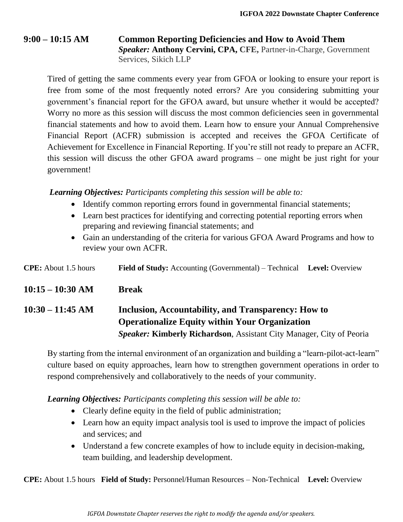#### **9:00 – 10:15 AM Common Reporting Deficiencies and How to Avoid Them** *Speaker:* **Anthony Cervini, CPA, CFE,** Partner-in-Charge, Government Services, Sikich LLP

Tired of getting the same comments every year from GFOA or looking to ensure your report is free from some of the most frequently noted errors? Are you considering submitting your government's financial report for the GFOA award, but unsure whether it would be accepted? Worry no more as this session will discuss the most common deficiencies seen in governmental financial statements and how to avoid them. Learn how to ensure your Annual Comprehensive Financial Report (ACFR) submission is accepted and receives the GFOA Certificate of Achievement for Excellence in Financial Reporting. If you're still not ready to prepare an ACFR, this session will discuss the other GFOA award programs – one might be just right for your government!

*Learning Objectives: Participants completing this session will be able to:*

- Identify common reporting errors found in governmental financial statements;
- Learn best practices for identifying and correcting potential reporting errors when preparing and reviewing financial statements; and
- Gain an understanding of the criteria for various GFOA Award Programs and how to review your own ACFR.

| <b>CPE:</b> About 1.5 hours | <b>Field of Study:</b> Accounting (Governmental) – Technical Level: Overview                                                                                                                |  |
|-----------------------------|---------------------------------------------------------------------------------------------------------------------------------------------------------------------------------------------|--|
| $10:15 - 10:30$ AM          | <b>Break</b>                                                                                                                                                                                |  |
| 10:30 – 11:45 AM            | Inclusion, Accountability, and Transparency: How to<br><b>Operationalize Equity within Your Organization</b><br><b>Speaker: Kimberly Richardson, Assistant City Manager, City of Peoria</b> |  |

By starting from the internal environment of an organization and building a "learn-pilot-act-learn" culture based on equity approaches, learn how to strengthen government operations in order to respond comprehensively and collaboratively to the needs of your community.

*Learning Objectives: Participants completing this session will be able to:*

- Clearly define equity in the field of public administration;
- Learn how an equity impact analysis tool is used to improve the impact of policies and services; and
- Understand a few concrete examples of how to include equity in decision-making, team building, and leadership development.

**CPE:** About 1.5 hours **Field of Study:** Personnel/Human Resources – Non-Technical **Level:** Overview